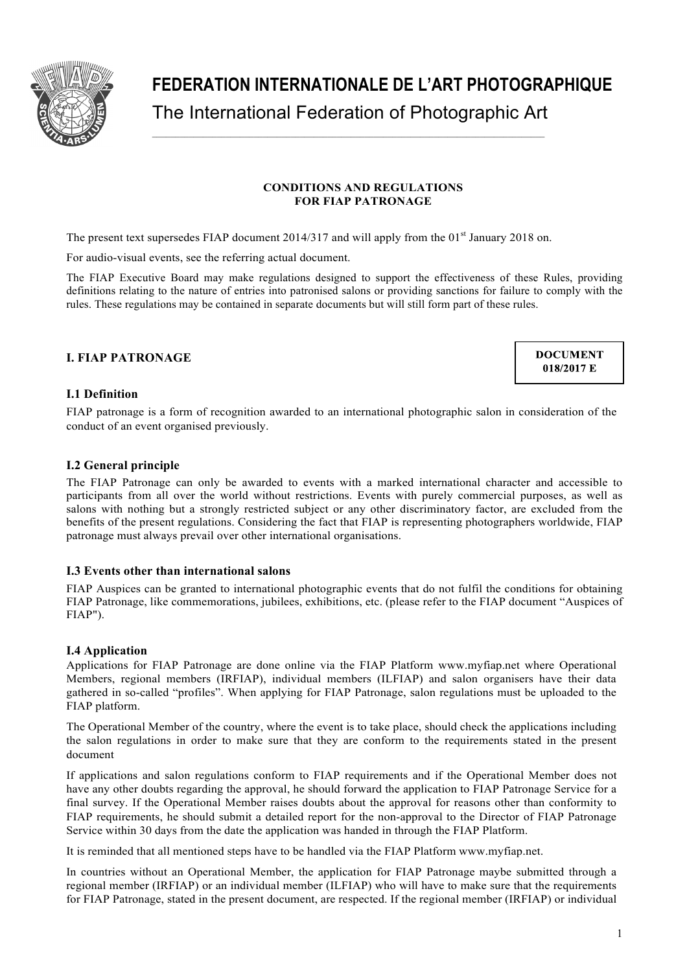

# **FEDERATION INTERNATIONALE DE L'ART PHOTOGRAPHIQUE** The International Federation of Photographic Art

# **CONDITIONS AND REGULATIONS FOR FIAP PATRONAGE**

The present text supersedes FIAP document  $2014/317$  and will apply from the  $01<sup>st</sup>$  January 2018 on.

For audio-visual events, see the referring actual document.

The FIAP Executive Board may make regulations designed to support the effectiveness of these Rules, providing definitions relating to the nature of entries into patronised salons or providing sanctions for failure to comply with the rules. These regulations may be contained in separate documents but will still form part of these rules.

# **I. FIAP PATRONAGE**

**DOCUMENT** 018/2017 E

#### **I.1 Definition**

FIAP patronage is a form of recognition awarded to an international photographic salon in consideration of the conduct of an event organised previously.

# **I.2 General principle**

The FIAP Patronage can only be awarded to events with a marked international character and accessible to participants from all over the world without restrictions. Events with purely commercial purposes, as well as salons with nothing but a strongly restricted subject or any other discriminatory factor, are excluded from the benefits of the present regulations. Considering the fact that FIAP is representing photographers worldwide, FIAP patronage must always prevail over other international organisations.

#### **I.3 Events other than international salons**

FIAP Auspices can be granted to international photographic events that do not fulfil the conditions for obtaining FIAP Patronage, like commemorations, jubilees, exhibitions, etc. (please refer to the FIAP document "Auspices of FIAP").

# **I.4 Application**

Applications for FIAP Patronage are done online via the FIAP Platform www.myfiap.net where Operational Members, regional members (IRFIAP), individual members (ILFIAP) and salon organisers have their data gathered in so-called "profiles". When applying for FIAP Patronage, salon regulations must be uploaded to the FIAP platform.

The Operational Member of the country, where the event is to take place, should check the applications including the salon regulations in order to make sure that they are conform to the requirements stated in the present document

If applications and salon regulations conform to FIAP requirements and if the Operational Member does not have any other doubts regarding the approval, he should forward the application to FIAP Patronage Service for a final survey. If the Operational Member raises doubts about the approval for reasons other than conformity to FIAP requirements, he should submit a detailed report for the non-approval to the Director of FIAP Patronage Service within 30 days from the date the application was handed in through the FIAP Platform.

It is reminded that all mentioned steps have to be handled via the FIAP Platform www.myfiap.net.

In countries without an Operational Member, the application for FIAP Patronage maybe submitted through a regional member (IRFIAP) or an individual member (ILFIAP) who will have to make sure that the requirements for FIAP Patronage, stated in the present document, are respected. If the regional member (IRFIAP) or individual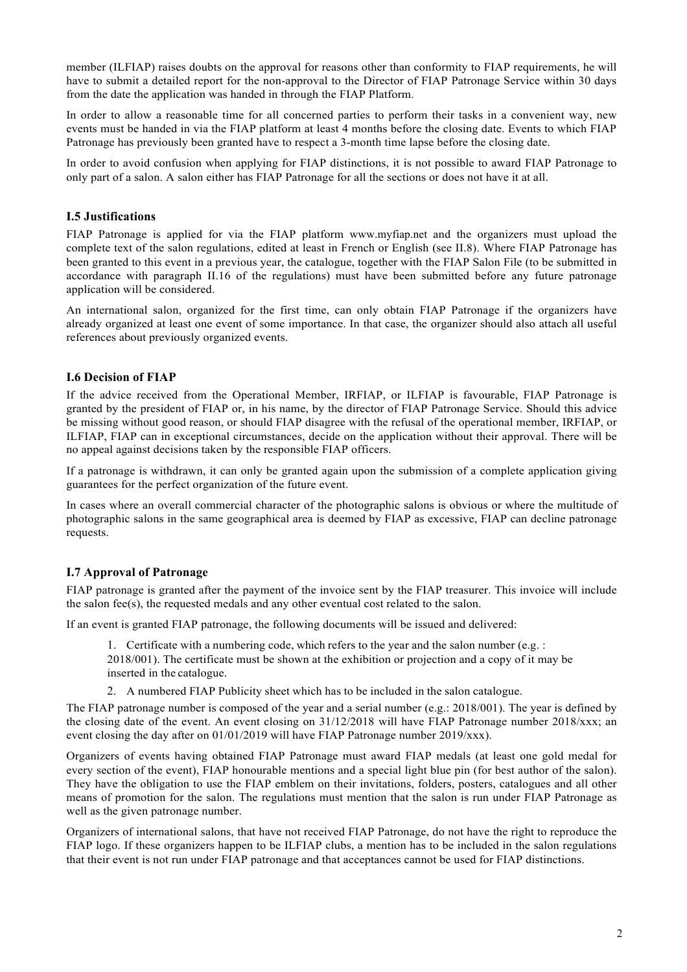member (ILFIAP) raises doubts on the approval for reasons other than conformity to FIAP requirements, he will have to submit a detailed report for the non-approval to the Director of FIAP Patronage Service within 30 days from the date the application was handed in through the FIAP Platform.

In order to allow a reasonable time for all concerned parties to perform their tasks in a convenient way, new events must be handed in via the FIAP platform at least 4 months before the closing date. Events to which FIAP Patronage has previously been granted have to respect a 3-month time lapse before the closing date.

In order to avoid confusion when applying for FIAP distinctions, it is not possible to award FIAP Patronage to only part of a salon. A salon either has FIAP Patronage for all the sections or does not have it at all.

## **I.5 Justifications**

FIAP Patronage is applied for via the FIAP platform www.myfiap.net and the organizers must upload the complete text of the salon regulations, edited at least in French or English (see II.8). Where FIAP Patronage has been granted to this event in a previous year, the catalogue, together with the FIAP Salon File (to be submitted in accordance with paragraph II.16 of the regulations) must have been submitted before any future patronage application will be considered.

An international salon, organized for the first time, can only obtain FIAP Patronage if the organizers have already organized at least one event of some importance. In that case, the organizer should also attach all useful references about previously organized events.

#### **I.6 Decision of FIAP**

If the advice received from the Operational Member, IRFIAP, or ILFIAP is favourable, FIAP Patronage is granted by the president of FIAP or, in his name, by the director of FIAP Patronage Service. Should this advice be missing without good reason, or should FIAP disagree with the refusal of the operational member, IRFIAP, or ILFIAP, FIAP can in exceptional circumstances, decide on the application without their approval. There will be no appeal against decisions taken by the responsible FIAP officers.

If a patronage is withdrawn, it can only be granted again upon the submission of a complete application giving guarantees for the perfect organization of the future event.

In cases where an overall commercial character of the photographic salons is obvious or where the multitude of photographic salons in the same geographical area is deemed by FIAP as excessive, FIAP can decline patronage requests.

# **I.7 Approval of Patronage**

FIAP patronage is granted after the payment of the invoice sent by the FIAP treasurer. This invoice will include the salon fee(s), the requested medals and any other eventual cost related to the salon.

If an event is granted FIAP patronage, the following documents will be issued and delivered:

1. Certificate with a numbering code, which refers to the year and the salon number (e.g.  $\colon$ 

2018/001). The certificate must be shown at the exhibition or projection and a copy of it may be inserted in the catalogue.

2. A numbered FIAP Publicity sheet which has to be included in the salon catalogue.

The FIAP patronage number is composed of the year and a serial number (e.g.: 2018/001). The year is defined by the closing date of the event. An event closing on 31/12/2018 will have FIAP Patronage number 2018/xxx; an event closing the day after on 01/01/2019 will have FIAP Patronage number 2019/xxx).

Organizers of events having obtained FIAP Patronage must award FIAP medals (at least one gold medal for every section of the event), FIAP honourable mentions and a special light blue pin (for best author of the salon). They have the obligation to use the FIAP emblem on their invitations, folders, posters, catalogues and all other means of promotion for the salon. The regulations must mention that the salon is run under FIAP Patronage as well as the given patronage number.

Organizers of international salons, that have not received FIAP Patronage, do not have the right to reproduce the FIAP logo. If these organizers happen to be ILFIAP clubs, a mention has to be included in the salon regulations that their event is not run under FIAP patronage and that acceptances cannot be used for FIAP distinctions.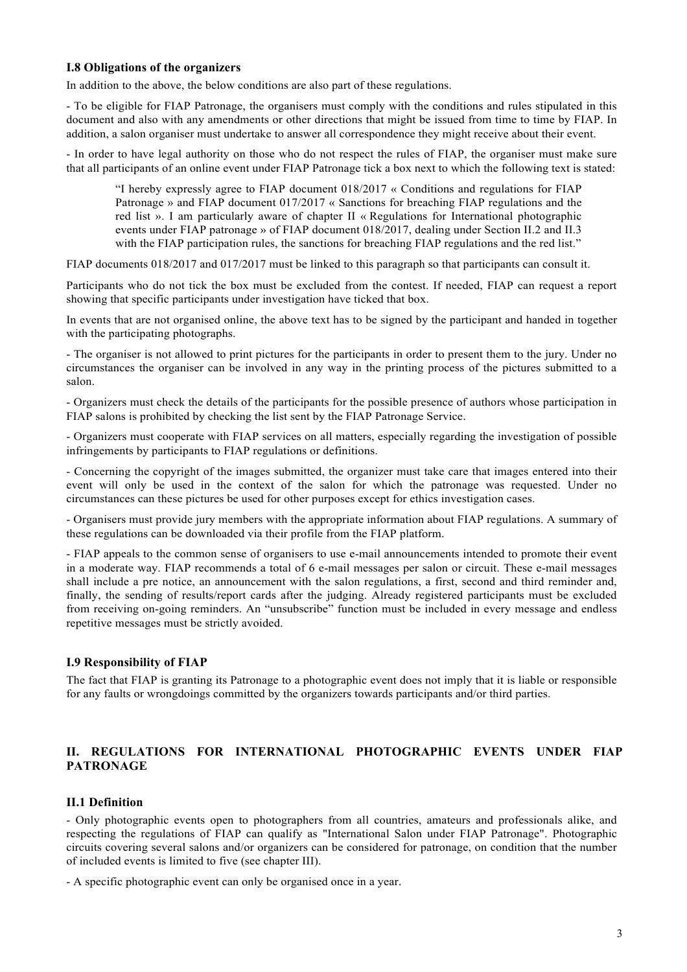# **I.8 Obligations of the organizers**

In addition to the above, the below conditions are also part of these regulations.

- To be eligible for FIAP Patronage, the organisers must comply with the conditions and rules stipulated in this document and also with any amendments or other directions that might be issued from time to time by FIAP. In addition, a salon organiser must undertake to answer all correspondence they might receive about their event.

- In order to have legal authority on those who do not respect the rules of FIAP, the organiser must make sure that all participants of an online event under FIAP Patronage tick a box next to which the following text is stated:

"I hereby expressly agree to FIAP document 018/2017 « Conditions and regulations for FIAP Patronage » and FIAP document 017/2017 « Sanctions for breaching FIAP regulations and the red list ». I am particularly aware of chapter II « Regulations for International photographic events under FIAP patronage » of FIAP document 018/2017, dealing under Section II.2 and II.3 with the FIAP participation rules, the sanctions for breaching FIAP regulations and the red list."

FIAP documents 018/2017 and 017/2017 must be linked to this paragraph so that participants can consult it.

Participants who do not tick the box must be excluded from the contest. If needed, FIAP can request a report showing that specific participants under investigation have ticked that box.

In events that are not organised online, the above text has to be signed by the participant and handed in together with the participating photographs.

- The organiser is not allowed to print pictures for the participants in order to present them to the jury. Under no circumstances the organiser can be involved in any way in the printing process of the pictures submitted to a salon.

- Organizers must check the details of the participants for the possible presence of authors whose participation in FIAP salons is prohibited by checking the list sent by the FIAP Patronage Service.

- Organizers must cooperate with FIAP services on all matters, especially regarding the investigation of possible infringements by participants to FIAP regulations or definitions.

- Concerning the copyright of the images submitted, the organizer must take care that images entered into their event will only be used in the context of the salon for which the patronage was requested. Under no circumstances can these pictures be used for other purposes except for ethics investigation cases.

- Organisers must provide jury members with the appropriate information about FIAP regulations. A summary of these regulations can be downloaded via their profile from the FIAP platform.

- FIAP appeals to the common sense of organisers to use e-mail announcements intended to promote their event in a moderate way. FIAP recommends a total of 6 e-mail messages per salon or circuit. These e-mail messages shall include a pre notice, an announcement with the salon regulations, a first, second and third reminder and, finally, the sending of results/report cards after the judging. Already registered participants must be excluded from receiving on-going reminders. An "unsubscribe" function must be included in every message and endless repetitive messages must be strictly avoided.

# **I.9 Responsibility of FIAP**

The fact that FIAP is granting its Patronage to a photographic event does not imply that it is liable or responsible for any faults or wrongdoings committed by the organizers towards participants and/or third parties.

# **II. REGULATIONS FOR INTERNATIONAL PHOTOGRAPHIC EVENTS UNDER FIAP PATRONAGE**

# **II.1 Definition**

- Only photographic events open to photographers from all countries, amateurs and professionals alike, and respecting the regulations of FIAP can qualify as "International Salon under FIAP Patronage". Photographic circuits covering several salons and/or organizers can be considered for patronage, on condition that the number of included events is limited to five (see chapter III).

- A specific photographic event can only be organised once in a year.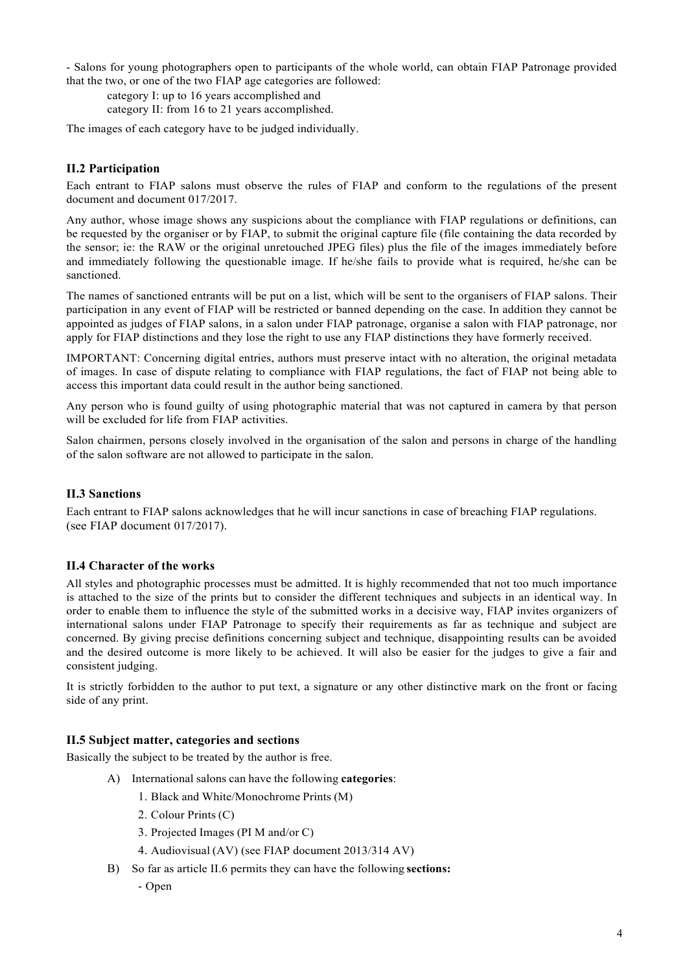- Salons for young photographers open to participants of the whole world, can obtain FIAP Patronage provided that the two, or one of the two FIAP age categories are followed:

category I: up to 16 years accomplished and

category II: from 16 to 21 years accomplished.

The images of each category have to be judged individually.

# **II.2 Participation**

Each entrant to FIAP salons must observe the rules of FIAP and conform to the regulations of the present document and document 017/2017.

Any author, whose image shows any suspicions about the compliance with FIAP regulations or definitions, can be requested by the organiser or by FIAP, to submit the original capture file (file containing the data recorded by the sensor; ie: the RAW or the original unretouched JPEG files) plus the file of the images immediately before and immediately following the questionable image. If he/she fails to provide what is required, he/she can be sanctioned.

The names of sanctioned entrants will be put on a list, which will be sent to the organisers of FIAP salons. Their participation in any event of FIAP will be restricted or banned depending on the case. In addition they cannot be appointed as judges of FIAP salons, in a salon under FIAP patronage, organise a salon with FIAP patronage, nor apply for FIAP distinctions and they lose the right to use any FIAP distinctions they have formerly received.

IMPORTANT: Concerning digital entries, authors must preserve intact with no alteration, the original metadata of images. In case of dispute relating to compliance with FIAP regulations, the fact of FIAP not being able to access this important data could result in the author being sanctioned.

Any person who is found guilty of using photographic material that was not captured in camera by that person will be excluded for life from FIAP activities.

Salon chairmen, persons closely involved in the organisation of the salon and persons in charge of the handling of the salon software are not allowed to participate in the salon.

# **II.3 Sanctions**

Each entrant to FIAP salons acknowledges that he will incur sanctions in case of breaching FIAP regulations. (see FIAP document 017/2017).

# **II.4 Character of the works**

All styles and photographic processes must be admitted. It is highly recommended that not too much importance is attached to the size of the prints but to consider the different techniques and subjects in an identical way. In order to enable them to influence the style of the submitted works in a decisive way, FIAP invites organizers of international salons under FIAP Patronage to specify their requirements as far as technique and subject are concerned. By giving precise definitions concerning subject and technique, disappointing results can be avoided and the desired outcome is more likely to be achieved. It will also be easier for the judges to give a fair and consistent judging.

It is strictly forbidden to the author to put text, a signature or any other distinctive mark on the front or facing side of any print.

# **II.5 Subject matter, categories and sections**

Basically the subject to be treated by the author is free.

- A) International salons can have the following **categories**:
	- 1. Black and White/Monochrome Prints (M)
	- 2. Colour Prints (C)
	- 3. Projected Images (PI M and/or C)
	- 4. Audiovisual (AV) (see FIAP document 2013/314 AV)
- B) So far as article II.6 permits they can have the following **sections:**
	- Open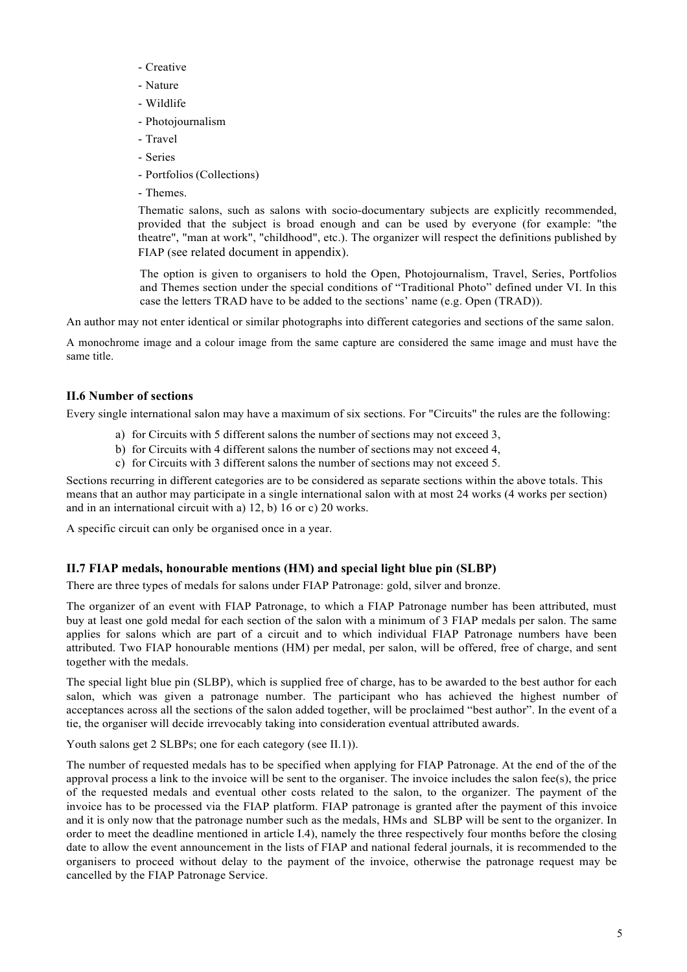- Creative
- Nature
- Wildlife
- Photojournalism
- Travel
- Series
- Portfolios (Collections)
- Themes.

Thematic salons, such as salons with socio-documentary subjects are explicitly recommended, provided that the subject is broad enough and can be used by everyone (for example: "the theatre", "man at work", "childhood", etc.). The organizer will respect the definitions published by FIAP (see related document in appendix).

The option is given to organisers to hold the Open, Photojournalism, Travel, Series, Portfolios and Themes section under the special conditions of "Traditional Photo" defined under VI. In this case the letters TRAD have to be added to the sections' name (e.g. Open (TRAD)).

An author may not enter identical or similar photographs into different categories and sections of the same salon.

A monochrome image and a colour image from the same capture are considered the same image and must have the same title.

# **II.6 Number of sections**

Every single international salon may have a maximum of six sections. For "Circuits" the rules are the following:

- a) for Circuits with 5 different salons the number of sections may not exceed 3,
- b) for Circuits with 4 different salons the number of sections may not exceed 4,
- c) for Circuits with 3 different salons the number of sections may not exceed 5.

Sections recurring in different categories are to be considered as separate sections within the above totals. This means that an author may participate in a single international salon with at most 24 works (4 works per section) and in an international circuit with a) 12, b) 16 or c) 20 works.

A specific circuit can only be organised once in a year.

# **II.7 FIAP medals, honourable mentions (HM) and special light blue pin (SLBP)**

There are three types of medals for salons under FIAP Patronage: gold, silver and bronze.

The organizer of an event with FIAP Patronage, to which a FIAP Patronage number has been attributed, must buy at least one gold medal for each section of the salon with a minimum of 3 FIAP medals per salon. The same applies for salons which are part of a circuit and to which individual FIAP Patronage numbers have been attributed. Two FIAP honourable mentions (HM) per medal, per salon, will be offered, free of charge, and sent together with the medals.

The special light blue pin (SLBP), which is supplied free of charge, has to be awarded to the best author for each salon, which was given a patronage number. The participant who has achieved the highest number of acceptances across all the sections of the salon added together, will be proclaimed "best author". In the event of a tie, the organiser will decide irrevocably taking into consideration eventual attributed awards.

Youth salons get 2 SLBPs; one for each category (see II.1)).

The number of requested medals has to be specified when applying for FIAP Patronage. At the end of the of the approval process a link to the invoice will be sent to the organiser. The invoice includes the salon fee(s), the price of the requested medals and eventual other costs related to the salon, to the organizer. The payment of the invoice has to be processed via the FIAP platform. FIAP patronage is granted after the payment of this invoice and it is only now that the patronage number such as the medals, HMs and SLBP will be sent to the organizer. In order to meet the deadline mentioned in article I.4), namely the three respectively four months before the closing date to allow the event announcement in the lists of FIAP and national federal journals, it is recommended to the organisers to proceed without delay to the payment of the invoice, otherwise the patronage request may be cancelled by the FIAP Patronage Service.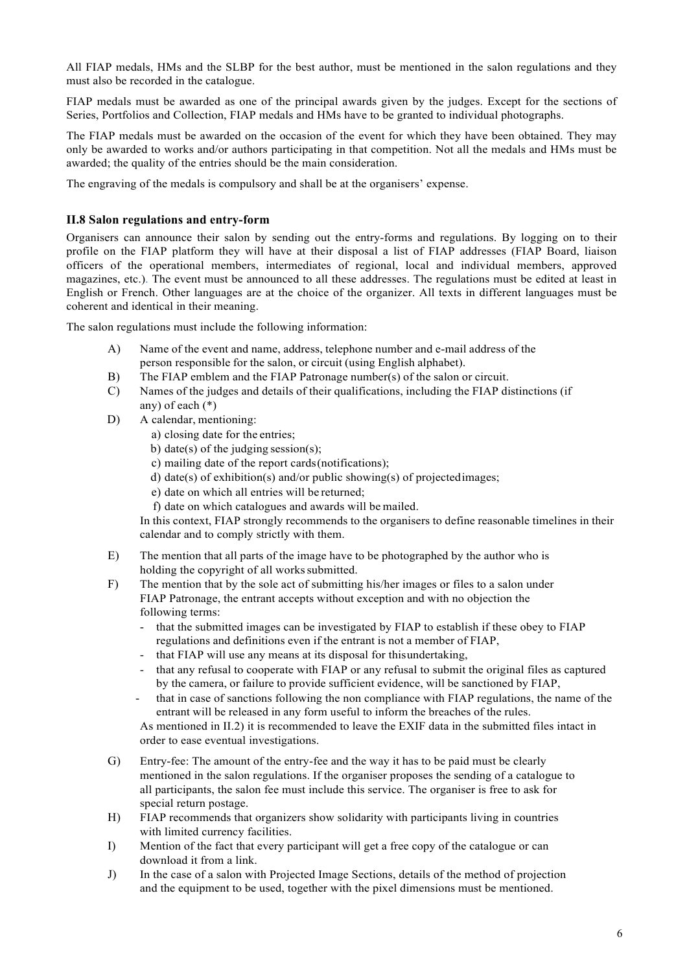All FIAP medals, HMs and the SLBP for the best author, must be mentioned in the salon regulations and they must also be recorded in the catalogue.

FIAP medals must be awarded as one of the principal awards given by the judges. Except for the sections of Series, Portfolios and Collection, FIAP medals and HMs have to be granted to individual photographs.

The FIAP medals must be awarded on the occasion of the event for which they have been obtained. They may only be awarded to works and/or authors participating in that competition. Not all the medals and HMs must be awarded; the quality of the entries should be the main consideration.

The engraving of the medals is compulsory and shall be at the organisers' expense.

#### **II.8 Salon regulations and entry-form**

Organisers can announce their salon by sending out the entry-forms and regulations. By logging on to their profile on the FIAP platform they will have at their disposal a list of FIAP addresses (FIAP Board, liaison officers of the operational members, intermediates of regional, local and individual members, approved magazines, etc.). The event must be announced to all these addresses. The regulations must be edited at least in English or French. Other languages are at the choice of the organizer. All texts in different languages must be coherent and identical in their meaning.

The salon regulations must include the following information:

- A) Name of the event and name, address, telephone number and e-mail address of the person responsible for the salon, or circuit (using English alphabet).
- B) The FIAP emblem and the FIAP Patronage number(s) of the salon or circuit.
- C) Names of the judges and details of their qualifications, including the FIAP distinctions (if any) of each (\*)
- D) A calendar, mentioning:
	- a) closing date for the entries;
	- b) date(s) of the judging session(s);
	- c) mailing date of the report cards(notifications);
	- d) date(s) of exhibition(s) and/or public showing(s) of projectedimages;
	- e) date on which all entries will be returned;
	- f) date on which catalogues and awards will be mailed.

In this context, FIAP strongly recommends to the organisers to define reasonable timelines in their calendar and to comply strictly with them.

- E) The mention that all parts of the image have to be photographed by the author who is holding the copyright of all works submitted.
- F) The mention that by the sole act of submitting his/her images or files to a salon under FIAP Patronage, the entrant accepts without exception and with no objection the following terms:
	- that the submitted images can be investigated by FIAP to establish if these obey to FIAP regulations and definitions even if the entrant is not a member of FIAP,
	- that FIAP will use any means at its disposal for thisundertaking,
	- that any refusal to cooperate with FIAP or any refusal to submit the original files as captured by the camera, or failure to provide sufficient evidence, will be sanctioned by FIAP,
	- that in case of sanctions following the non compliance with FIAP regulations, the name of the entrant will be released in any form useful to inform the breaches of the rules.

As mentioned in II.2) it is recommended to leave the EXIF data in the submitted files intact in order to ease eventual investigations.

- G) Entry-fee: The amount of the entry-fee and the way it has to be paid must be clearly mentioned in the salon regulations. If the organiser proposes the sending of a catalogue to all participants, the salon fee must include this service. The organiser is free to ask for special return postage.
- H) FIAP recommends that organizers show solidarity with participants living in countries with limited currency facilities.
- I) Mention of the fact that every participant will get a free copy of the catalogue or can download it from a link.
- J) In the case of a salon with Projected Image Sections, details of the method of projection and the equipment to be used, together with the pixel dimensions must be mentioned.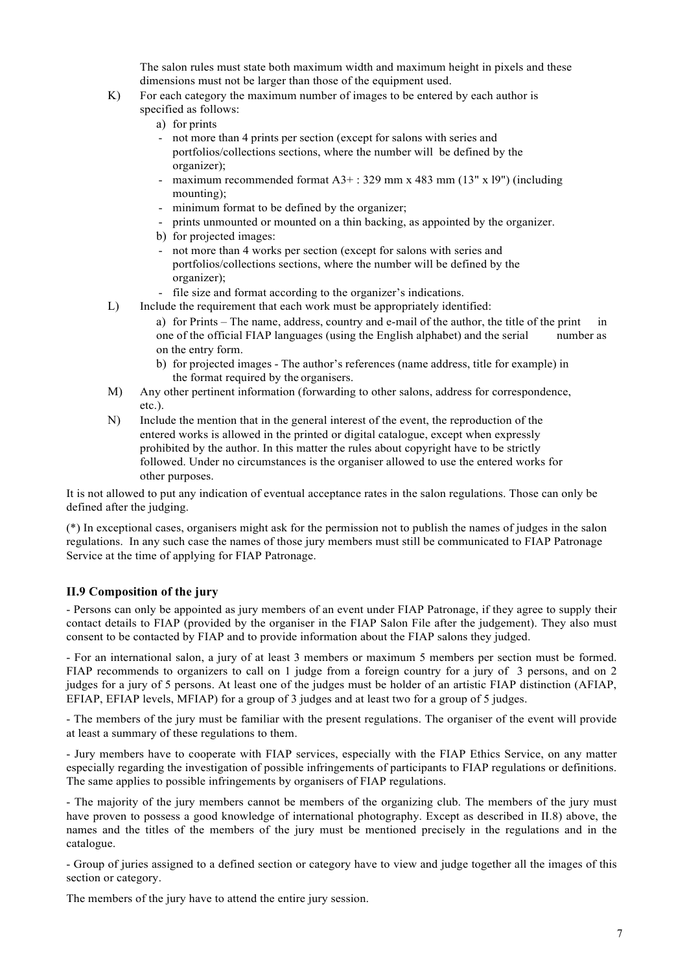The salon rules must state both maximum width and maximum height in pixels and these dimensions must not be larger than those of the equipment used.

- K) For each category the maximum number of images to be entered by each author is specified as follows:
	- a) for prints
	- not more than 4 prints per section (except for salons with series and portfolios/collections sections, where the number will be defined by the organizer);
	- maximum recommended format A3+ : 329 mm x 483 mm (13" x l9") (including mounting);
	- minimum format to be defined by the organizer;
	- prints unmounted or mounted on a thin backing, as appointed by the organizer.
	- b) for projected images:
	- not more than 4 works per section (except for salons with series and portfolios/collections sections, where the number will be defined by the organizer);
	- file size and format according to the organizer's indications.
- L) Include the requirement that each work must be appropriately identified:
	- a) for Prints The name, address, country and e-mail of the author, the title of the print in one of the official FIAP languages (using the English alphabet) and the serial number as on the entry form.
	- b) for projected images The author's references (name address, title for example) in the format required by the organisers.
- M) Any other pertinent information (forwarding to other salons, address for correspondence, etc.).
- N) Include the mention that in the general interest of the event, the reproduction of the entered works is allowed in the printed or digital catalogue, except when expressly prohibited by the author. In this matter the rules about copyright have to be strictly followed. Under no circumstances is the organiser allowed to use the entered works for other purposes.

It is not allowed to put any indication of eventual acceptance rates in the salon regulations. Those can only be defined after the judging.

(\*) In exceptional cases, organisers might ask for the permission not to publish the names of judges in the salon regulations. In any such case the names of those jury members must still be communicated to FIAP Patronage Service at the time of applying for FIAP Patronage.

# **II.9 Composition of the jury**

- Persons can only be appointed as jury members of an event under FIAP Patronage, if they agree to supply their contact details to FIAP (provided by the organiser in the FIAP Salon File after the judgement). They also must consent to be contacted by FIAP and to provide information about the FIAP salons they judged.

- For an international salon, a jury of at least 3 members or maximum 5 members per section must be formed. FIAP recommends to organizers to call on 1 judge from a foreign country for a jury of 3 persons, and on 2 judges for a jury of 5 persons. At least one of the judges must be holder of an artistic FIAP distinction (AFIAP, EFIAP, EFIAP levels, MFIAP) for a group of 3 judges and at least two for a group of 5 judges.

- The members of the jury must be familiar with the present regulations. The organiser of the event will provide at least a summary of these regulations to them.

- Jury members have to cooperate with FIAP services, especially with the FIAP Ethics Service, on any matter especially regarding the investigation of possible infringements of participants to FIAP regulations or definitions. The same applies to possible infringements by organisers of FIAP regulations.

- The majority of the jury members cannot be members of the organizing club. The members of the jury must have proven to possess a good knowledge of international photography. Except as described in II.8) above, the names and the titles of the members of the jury must be mentioned precisely in the regulations and in the catalogue.

- Group of juries assigned to a defined section or category have to view and judge together all the images of this section or category.

The members of the jury have to attend the entire jury session.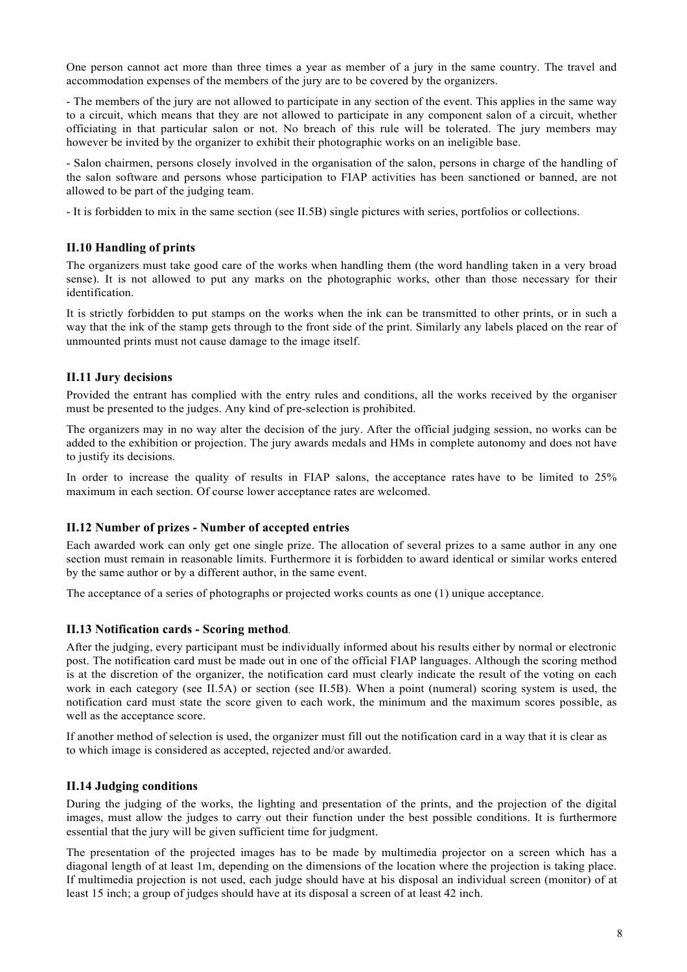One person cannot act more than three times a year as member of a jury in the same country. The travel and accommodation expenses of the members of the jury are to be covered by the organizers.

- The members of the jury are not allowed to participate in any section of the event. This applies in the same way to a circuit, which means that they are not allowed to participate in any component salon of a circuit, whether officiating in that particular salon or not. No breach of this rule will be tolerated. The jury members may however be invited by the organizer to exhibit their photographic works on an ineligible base.

- Salon chairmen, persons closely involved in the organisation of the salon, persons in charge of the handling of the salon software and persons whose participation to FIAP activities has been sanctioned or banned, are not allowed to be part of the judging team.

- It is forbidden to mix in the same section (see II.5B) single pictures with series, portfolios or collections.

#### **II.10 Handling of prints**

The organizers must take good care of the works when handling them (the word handling taken in a very broad sense). It is not allowed to put any marks on the photographic works, other than those necessary for their identification.

It is strictly forbidden to put stamps on the works when the ink can be transmitted to other prints, or in such a way that the ink of the stamp gets through to the front side of the print. Similarly any labels placed on the rear of unmounted prints must not cause damage to the image itself.

#### **II.11 Jury decisions**

Provided the entrant has complied with the entry rules and conditions, all the works received by the organiser must be presented to the judges. Any kind of pre-selection is prohibited.

The organizers may in no way alter the decision of the jury. After the official judging session, no works can be added to the exhibition or projection. The jury awards medals and HMs in complete autonomy and does not have to justify its decisions.

In order to increase the quality of results in FIAP salons, the acceptance rates have to be limited to 25% maximum in each section. Of course lower acceptance rates are welcomed.

#### **II.12 Number of prizes - Number of accepted entries**

Each awarded work can only get one single prize. The allocation of several prizes to a same author in any one section must remain in reasonable limits. Furthermore it is forbidden to award identical or similar works entered by the same author or by a different author, in the same event.

The acceptance of a series of photographs or projected works counts as one (1) unique acceptance.

#### **II.13 Notification cards - Scoring method***.*

After the judging, every participant must be individually informed about his results either by normal or electronic post. The notification card must be made out in one of the official FIAP languages. Although the scoring method is at the discretion of the organizer, the notification card must clearly indicate the result of the voting on each work in each category (see II.5A) or section (see II.5B). When a point (numeral) scoring system is used, the notification card must state the score given to each work, the minimum and the maximum scores possible, as well as the acceptance score.

If another method of selection is used, the organizer must fill out the notification card in a way that it is clear as to which image is considered as accepted, rejected and/or awarded.

#### **II.14 Judging conditions**

During the judging of the works, the lighting and presentation of the prints, and the projection of the digital images, must allow the judges to carry out their function under the best possible conditions. It is furthermore essential that the jury will be given sufficient time for judgment.

The presentation of the projected images has to be made by multimedia projector on a screen which has a diagonal length of at least 1m, depending on the dimensions of the location where the projection is taking place. If multimedia projection is not used, each judge should have at his disposal an individual screen (monitor) of at least 15 inch; a group of judges should have at its disposal a screen of at least 42 inch.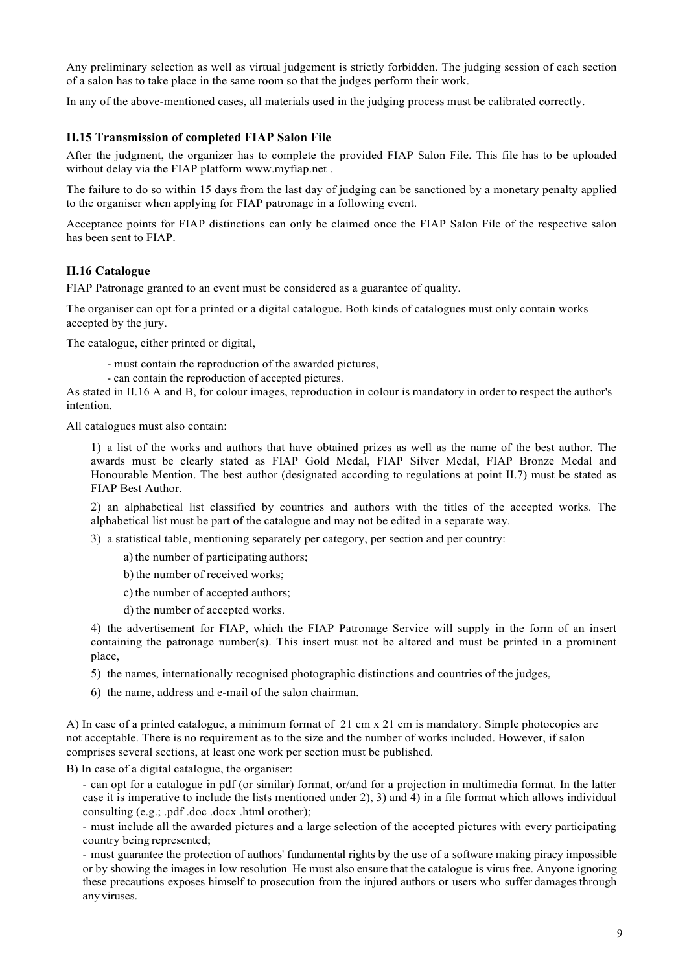Any preliminary selection as well as virtual judgement is strictly forbidden. The judging session of each section of a salon has to take place in the same room so that the judges perform their work.

In any of the above-mentioned cases, all materials used in the judging process must be calibrated correctly.

# **II.15 Transmission of completed FIAP Salon File**

After the judgment, the organizer has to complete the provided FIAP Salon File. This file has to be uploaded without delay via the FIAP platform www.myfiap.net .

The failure to do so within 15 days from the last day of judging can be sanctioned by a monetary penalty applied to the organiser when applying for FIAP patronage in a following event.

Acceptance points for FIAP distinctions can only be claimed once the FIAP Salon File of the respective salon has been sent to FIAP.

#### **II.16 Catalogue**

FIAP Patronage granted to an event must be considered as a guarantee of quality.

The organiser can opt for a printed or a digital catalogue. Both kinds of catalogues must only contain works accepted by the jury.

The catalogue, either printed or digital,

- must contain the reproduction of the awarded pictures,
- can contain the reproduction of accepted pictures.

As stated in II.16 A and B, for colour images, reproduction in colour is mandatory in order to respect the author's intention.

All catalogues must also contain:

1) a list of the works and authors that have obtained prizes as well as the name of the best author. The awards must be clearly stated as FIAP Gold Medal, FIAP Silver Medal, FIAP Bronze Medal and Honourable Mention. The best author (designated according to regulations at point II.7) must be stated as FIAP Best Author.

2) an alphabetical list classified by countries and authors with the titles of the accepted works. The alphabetical list must be part of the catalogue and may not be edited in a separate way.

- 3) a statistical table, mentioning separately per category, per section and per country:
	- a) the number of participating authors;
	- b) the number of received works;
	- c) the number of accepted authors;
	- d) the number of accepted works.

4) the advertisement for FIAP, which the FIAP Patronage Service will supply in the form of an insert containing the patronage number(s). This insert must not be altered and must be printed in a prominent place,

- 5) the names, internationally recognised photographic distinctions and countries of the judges,
- 6) the name, address and e-mail of the salon chairman.

A) In case of a printed catalogue, a minimum format of 21 cm x 21 cm is mandatory. Simple photocopies are not acceptable. There is no requirement as to the size and the number of works included. However, if salon comprises several sections, at least one work per section must be published.

B) In case of a digital catalogue, the organiser:

- can opt for a catalogue in pdf (or similar) format, or/and for a projection in multimedia format. In the latter case it is imperative to include the lists mentioned under 2), 3) and 4) in a file format which allows individual consulting (e.g.; .pdf .doc .docx .html orother);

- must include all the awarded pictures and a large selection of the accepted pictures with every participating country being represented;

- must guarantee the protection of authors' fundamental rights by the use of a software making piracy impossible or by showing the images in low resolution He must also ensure that the catalogue is virus free. Anyone ignoring these precautions exposes himself to prosecution from the injured authors or users who suffer damages through anyviruses.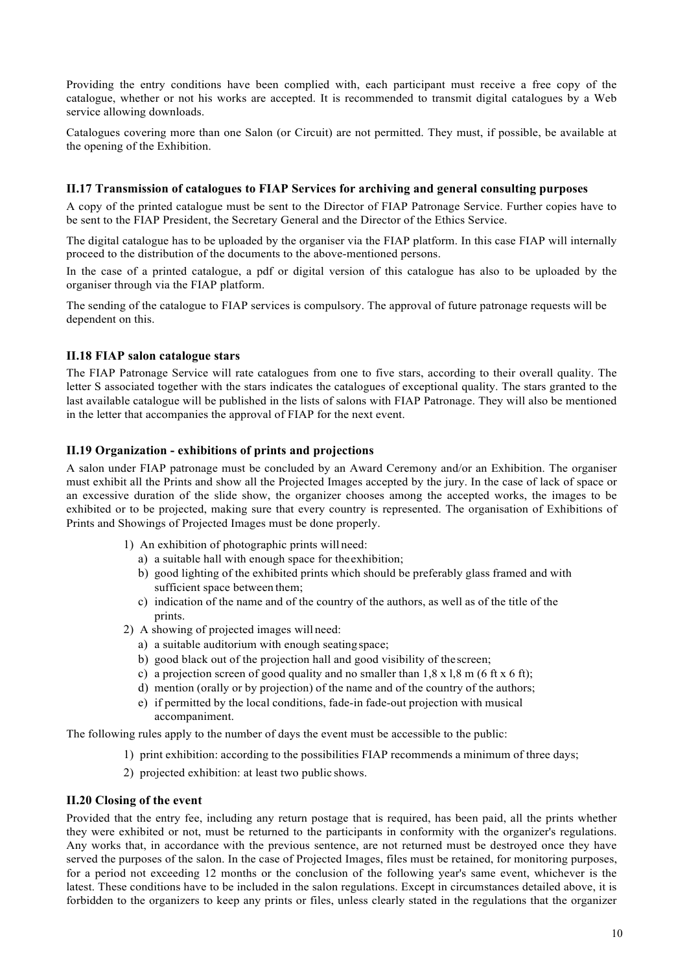Providing the entry conditions have been complied with, each participant must receive a free copy of the catalogue, whether or not his works are accepted. It is recommended to transmit digital catalogues by a Web service allowing downloads.

Catalogues covering more than one Salon (or Circuit) are not permitted. They must, if possible, be available at the opening of the Exhibition.

#### **II.17 Transmission of catalogues to FIAP Services for archiving and general consulting purposes**

A copy of the printed catalogue must be sent to the Director of FIAP Patronage Service. Further copies have to be sent to the FIAP President, the Secretary General and the Director of the Ethics Service.

The digital catalogue has to be uploaded by the organiser via the FIAP platform. In this case FIAP will internally proceed to the distribution of the documents to the above-mentioned persons.

In the case of a printed catalogue, a pdf or digital version of this catalogue has also to be uploaded by the organiser through via the FIAP platform.

The sending of the catalogue to FIAP services is compulsory. The approval of future patronage requests will be dependent on this.

#### **II.18 FIAP salon catalogue stars**

The FIAP Patronage Service will rate catalogues from one to five stars, according to their overall quality. The letter S associated together with the stars indicates the catalogues of exceptional quality. The stars granted to the last available catalogue will be published in the lists of salons with FIAP Patronage. They will also be mentioned in the letter that accompanies the approval of FIAP for the next event.

#### **II.19 Organization - exhibitions of prints and projections**

A salon under FIAP patronage must be concluded by an Award Ceremony and/or an Exhibition. The organiser must exhibit all the Prints and show all the Projected Images accepted by the jury. In the case of lack of space or an excessive duration of the slide show, the organizer chooses among the accepted works, the images to be exhibited or to be projected, making sure that every country is represented. The organisation of Exhibitions of Prints and Showings of Projected Images must be done properly.

- 1) An exhibition of photographic prints will need:
	- a) a suitable hall with enough space for theexhibition;
	- b) good lighting of the exhibited prints which should be preferably glass framed and with sufficient space between them;
	- c) indication of the name and of the country of the authors, as well as of the title of the prints.
- 2) A showing of projected images will need:
	- a) a suitable auditorium with enough seating space;
	- b) good black out of the projection hall and good visibility of thescreen;
	- c) a projection screen of good quality and no smaller than  $1, 8 \times 1, 8 \text{ m}$  (6 ft  $\times$  6 ft);
	- d) mention (orally or by projection) of the name and of the country of the authors;
	- e) if permitted by the local conditions, fade-in fade-out projection with musical accompaniment.

The following rules apply to the number of days the event must be accessible to the public:

- 1) print exhibition: according to the possibilities FIAP recommends a minimum of three days;
- 2) projected exhibition: at least two public shows.

#### **II.20 Closing of the event**

Provided that the entry fee, including any return postage that is required, has been paid, all the prints whether they were exhibited or not, must be returned to the participants in conformity with the organizer's regulations. Any works that, in accordance with the previous sentence, are not returned must be destroyed once they have served the purposes of the salon. In the case of Projected Images, files must be retained, for monitoring purposes, for a period not exceeding 12 months or the conclusion of the following year's same event, whichever is the latest. These conditions have to be included in the salon regulations. Except in circumstances detailed above, it is forbidden to the organizers to keep any prints or files, unless clearly stated in the regulations that the organizer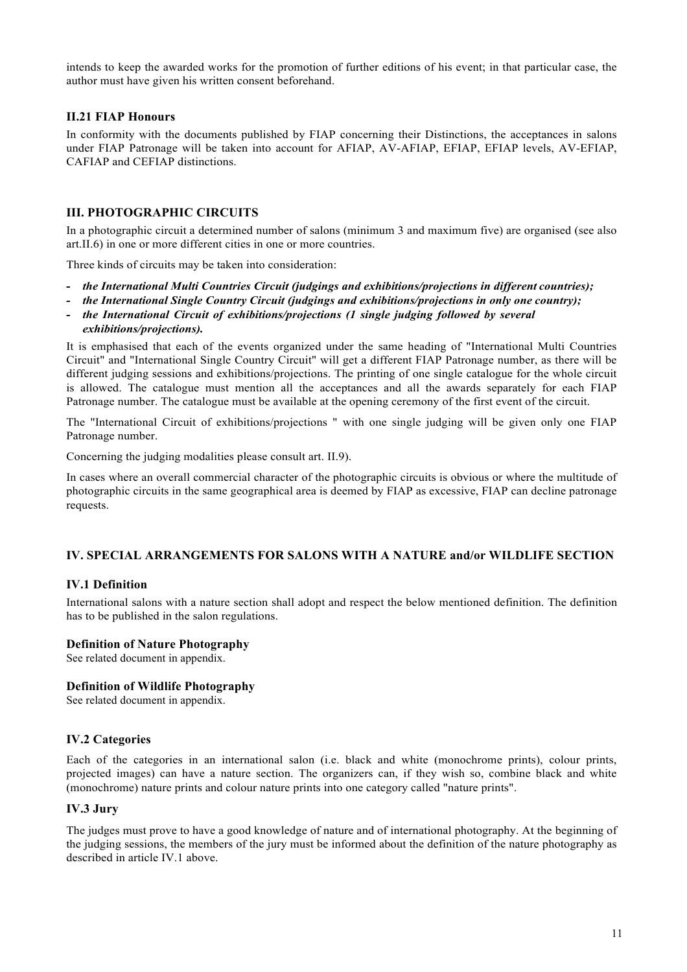intends to keep the awarded works for the promotion of further editions of his event; in that particular case, the author must have given his written consent beforehand.

## **II.21 FIAP Honours**

In conformity with the documents published by FIAP concerning their Distinctions, the acceptances in salons under FIAP Patronage will be taken into account for AFIAP, AV-AFIAP, EFIAP, EFIAP levels, AV-EFIAP, CAFIAP and CEFIAP distinctions.

#### **III. PHOTOGRAPHIC CIRCUITS**

In a photographic circuit a determined number of salons (minimum 3 and maximum five) are organised (see also art.II.6) in one or more different cities in one or more countries.

Three kinds of circuits may be taken into consideration:

- *- the International Multi Countries Circuit (judgings and exhibitions/projections in different countries);*
- *- the International Single Country Circuit (judgings and exhibitions/projections in only one country);*
- *- the International Circuit of exhibitions/projections (1 single judging followed by several*
- *exhibitions/projections).*

It is emphasised that each of the events organized under the same heading of "International Multi Countries Circuit" and "International Single Country Circuit" will get a different FIAP Patronage number, as there will be different judging sessions and exhibitions/projections. The printing of one single catalogue for the whole circuit is allowed. The catalogue must mention all the acceptances and all the awards separately for each FIAP Patronage number. The catalogue must be available at the opening ceremony of the first event of the circuit.

The "International Circuit of exhibitions/projections " with one single judging will be given only one FIAP Patronage number.

Concerning the judging modalities please consult art. II.9).

In cases where an overall commercial character of the photographic circuits is obvious or where the multitude of photographic circuits in the same geographical area is deemed by FIAP as excessive, FIAP can decline patronage requests.

#### **IV. SPECIAL ARRANGEMENTS FOR SALONS WITH A NATURE and/or WILDLIFE SECTION**

#### **IV.1 Definition**

International salons with a nature section shall adopt and respect the below mentioned definition. The definition has to be published in the salon regulations.

#### **Definition of Nature Photography**

See related document in appendix.

#### **Definition of Wildlife Photography**

See related document in appendix.

#### **IV.2 Categories**

Each of the categories in an international salon (i.e. black and white (monochrome prints), colour prints, projected images) can have a nature section. The organizers can, if they wish so, combine black and white (monochrome) nature prints and colour nature prints into one category called "nature prints".

#### **IV.3 Jury**

The judges must prove to have a good knowledge of nature and of international photography. At the beginning of the judging sessions, the members of the jury must be informed about the definition of the nature photography as described in article IV.1 above.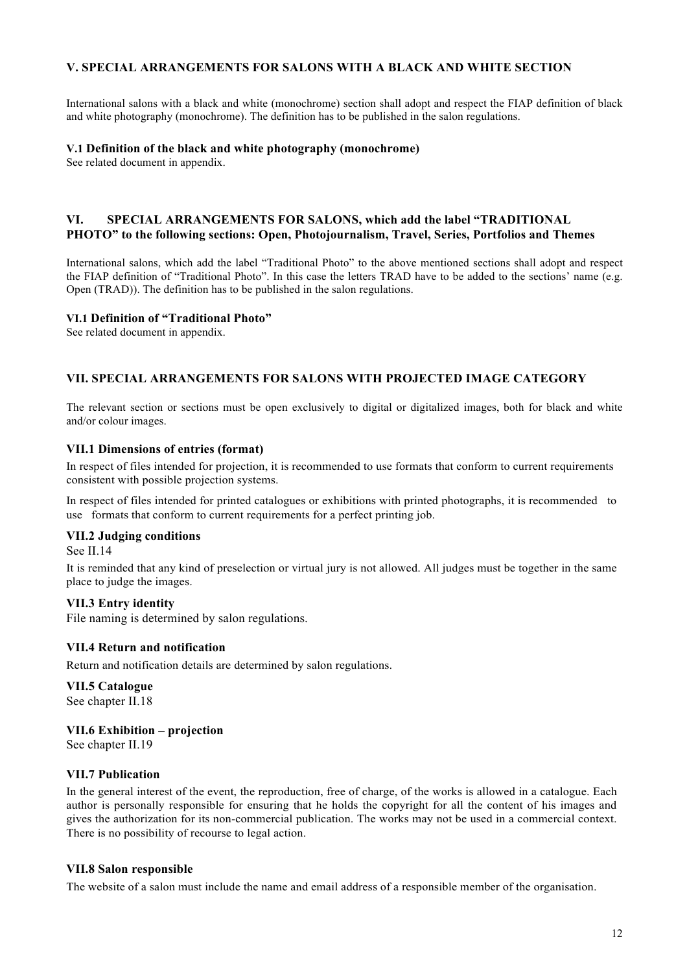# **V. SPECIAL ARRANGEMENTS FOR SALONS WITH A BLACK AND WHITE SECTION**

International salons with a black and white (monochrome) section shall adopt and respect the FIAP definition of black and white photography (monochrome). The definition has to be published in the salon regulations.

#### **V.1 Definition of the black and white photography (monochrome)**

See related document in appendix.

# **VI. SPECIAL ARRANGEMENTS FOR SALONS, which add the label "TRADITIONAL PHOTO" to the following sections: Open, Photojournalism, Travel, Series, Portfolios and Themes**

International salons, which add the label "Traditional Photo" to the above mentioned sections shall adopt and respect the FIAP definition of "Traditional Photo". In this case the letters TRAD have to be added to the sections' name (e.g. Open (TRAD)). The definition has to be published in the salon regulations.

#### **VI.1 Definition of "Traditional Photo"**

See related document in appendix.

# **VII. SPECIAL ARRANGEMENTS FOR SALONS WITH PROJECTED IMAGE CATEGORY**

The relevant section or sections must be open exclusively to digital or digitalized images, both for black and white and/or colour images.

#### **VII.1 Dimensions of entries (format)**

In respect of files intended for projection, it is recommended to use formats that conform to current requirements consistent with possible projection systems.

In respect of files intended for printed catalogues or exhibitions with printed photographs, it is recommended to use formats that conform to current requirements for a perfect printing job.

#### **VII.2 Judging conditions**

See II.14

It is reminded that any kind of preselection or virtual jury is not allowed. All judges must be together in the same place to judge the images.

#### **VII.3 Entry identity**

File naming is determined by salon regulations.

# **VII.4 Return and notification**

Return and notification details are determined by salon regulations.

# **VII.5 Catalogue**

See chapter II.18

# **VII.6 Exhibition – projection**

See chapter II.19

# **VII.7 Publication**

In the general interest of the event, the reproduction, free of charge, of the works is allowed in a catalogue. Each author is personally responsible for ensuring that he holds the copyright for all the content of his images and gives the authorization for its non-commercial publication. The works may not be used in a commercial context. There is no possibility of recourse to legal action.

#### **VII.8 Salon responsible**

The website of a salon must include the name and email address of a responsible member of the organisation.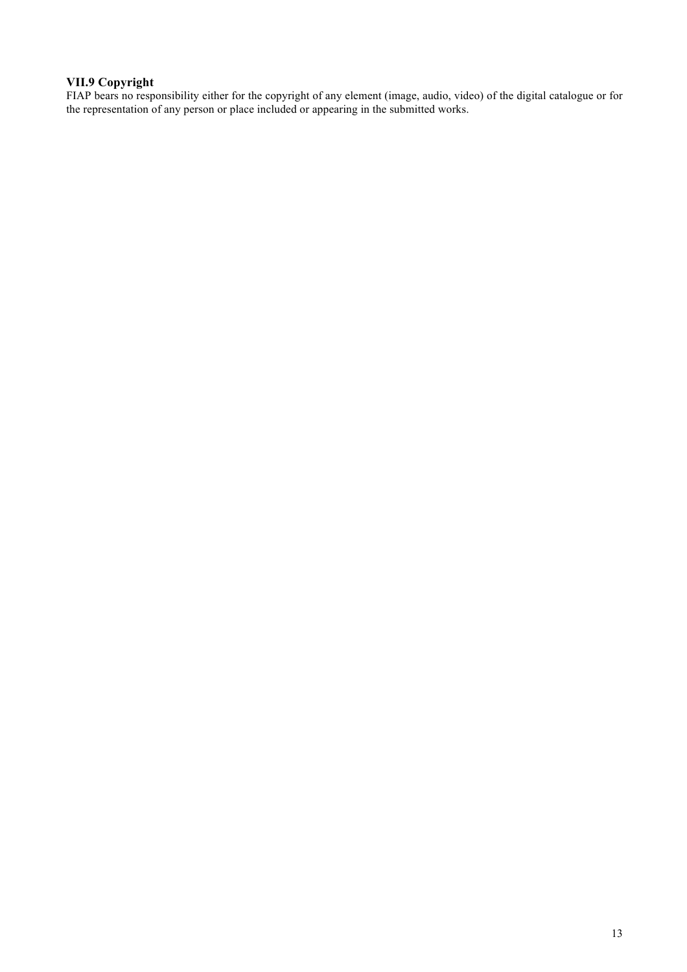# **VII.9 Copyright**

FIAP bears no responsibility either for the copyright of any element (image, audio, video) of the digital catalogue or for the representation of any person or place included or appearing in the submitted works.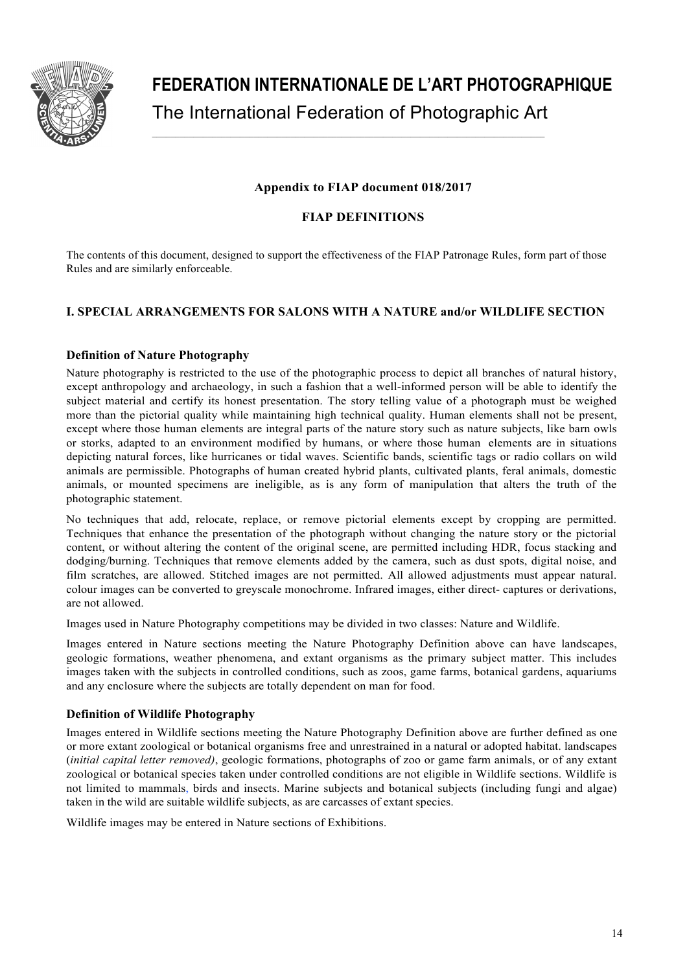

**FEDERATION INTERNATIONALE DE L'ART PHOTOGRAPHIQUE** The International Federation of Photographic Art

# **Appendix to FIAP document 018/2017**

# **FIAP DEFINITIONS**

The contents of this document, designed to support the effectiveness of the FIAP Patronage Rules, form part of those Rules and are similarly enforceable.

# **I. SPECIAL ARRANGEMENTS FOR SALONS WITH A NATURE and/or WILDLIFE SECTION**

# **Definition of Nature Photography**

Nature photography is restricted to the use of the photographic process to depict all branches of natural history, except anthropology and archaeology, in such a fashion that a well-informed person will be able to identify the subject material and certify its honest presentation. The story telling value of a photograph must be weighed more than the pictorial quality while maintaining high technical quality. Human elements shall not be present, except where those human elements are integral parts of the nature story such as nature subjects, like barn owls or storks, adapted to an environment modified by humans, or where those human elements are in situations depicting natural forces, like hurricanes or tidal waves. Scientific bands, scientific tags or radio collars on wild animals are permissible. Photographs of human created hybrid plants, cultivated plants, feral animals, domestic animals, or mounted specimens are ineligible, as is any form of manipulation that alters the truth of the photographic statement.

No techniques that add, relocate, replace, or remove pictorial elements except by cropping are permitted. Techniques that enhance the presentation of the photograph without changing the nature story or the pictorial content, or without altering the content of the original scene, are permitted including HDR, focus stacking and dodging/burning. Techniques that remove elements added by the camera, such as dust spots, digital noise, and film scratches, are allowed. Stitched images are not permitted. All allowed adjustments must appear natural. colour images can be converted to greyscale monochrome. Infrared images, either direct- captures or derivations, are not allowed.

Images used in Nature Photography competitions may be divided in two classes: Nature and Wildlife.

Images entered in Nature sections meeting the Nature Photography Definition above can have landscapes, geologic formations, weather phenomena, and extant organisms as the primary subject matter. This includes images taken with the subjects in controlled conditions, such as zoos, game farms, botanical gardens, aquariums and any enclosure where the subjects are totally dependent on man for food.

# **Definition of Wildlife Photography**

Images entered in Wildlife sections meeting the Nature Photography Definition above are further defined as one or more extant zoological or botanical organisms free and unrestrained in a natural or adopted habitat. landscapes (*initial capital letter removed)*, geologic formations, photographs of zoo or game farm animals, or of any extant zoological or botanical species taken under controlled conditions are not eligible in Wildlife sections. Wildlife is not limited to mammals, birds and insects. Marine subjects and botanical subjects (including fungi and algae) taken in the wild are suitable wildlife subjects, as are carcasses of extant species.

Wildlife images may be entered in Nature sections of Exhibitions.